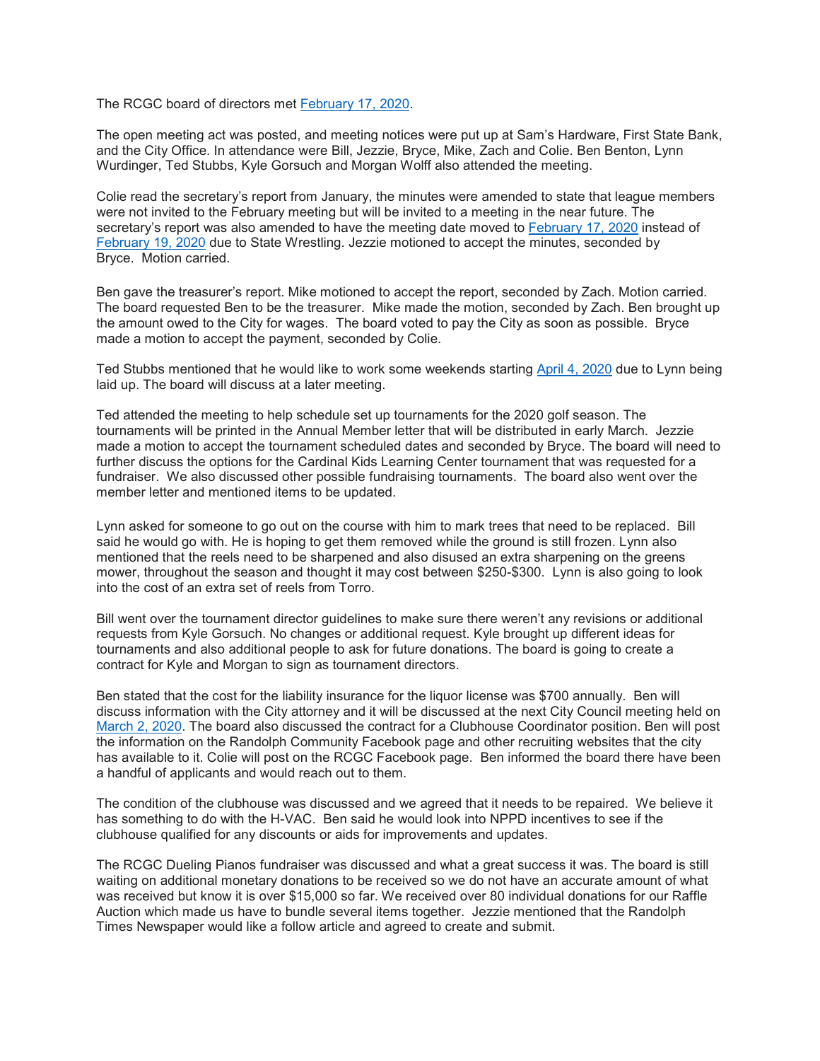The RCGC board of directors met [February](calendar:T2:February%2017,%202020) 17, 2020.

The open meeting act was posted, and meeting notices were put up at Sam's Hardware, First State Bank, and the City Office. In attendance were Bill, Jezzie, Bryce, Mike, Zach and Colie. Ben Benton, Lynn Wurdinger, Ted Stubbs, Kyle Gorsuch and Morgan Wolff also attended the meeting.

Colie read the secretary's report from January, the minutes were amended to state that league members were not invited to the February meeting but will be invited to a meeting in the near future. The secretary's report was also amended to have the meeting date moved to [February](calendar:T2:February%2017,%202020) 17, 2020 instead of [February](calendar:T2:February%2019,%202020) 19, 2020 due to State Wrestling. Jezzie motioned to accept the minutes, seconded by Bryce. Motion carried.

Ben gave the treasurer's report. Mike motioned to accept the report, seconded by Zach. Motion carried. The board requested Ben to be the treasurer. Mike made the motion, seconded by Zach. Ben brought up the amount owed to the City for wages. The board voted to pay the City as soon as possible. Bryce made a motion to accept the payment, seconded by Colie.

Ted Stubbs mentioned that he would like to work some weekends starting April 4, [2020](calendar:T2:April%204,%202020) due to Lynn being laid up. The board will discuss at a later meeting.

Ted attended the meeting to help schedule set up tournaments for the 2020 golf season. The tournaments will be printed in the Annual Member letter that will be distributed in early March. Jezzie made a motion to accept the tournament scheduled dates and seconded by Bryce. The board will need to further discuss the options for the Cardinal Kids Learning Center tournament that was requested for a fundraiser. We also discussed other possible fundraising tournaments. The board also went over the member letter and mentioned items to be updated.

Lynn asked for someone to go out on the course with him to mark trees that need to be replaced. Bill said he would go with. He is hoping to get them removed while the ground is still frozen. Lynn also mentioned that the reels need to be sharpened and also disused an extra sharpening on the greens mower, throughout the season and thought it may cost between \$250-\$300. Lynn is also going to look into the cost of an extra set of reels from Torro.

Bill went over the tournament director guidelines to make sure there weren't any revisions or additional requests from Kyle Gorsuch. No changes or additional request. Kyle brought up different ideas for tournaments and also additional people to ask for future donations. The board is going to create a contract for Kyle and Morgan to sign as tournament directors.

Ben stated that the cost for the liability insurance for the liquor license was \$700 annually. Ben will discuss information with the City attorney and it will be discussed at the next City Council meeting held on [March](calendar:T2:March%202,%202020) 2, 2020. The board also discussed the contract for a Clubhouse Coordinator position. Ben will post the information on the Randolph Community Facebook page and other recruiting websites that the city has available to it. Colie will post on the RCGC Facebook page. Ben informed the board there have been a handful of applicants and would reach out to them.

The condition of the clubhouse was discussed and we agreed that it needs to be repaired. We believe it has something to do with the H-VAC. Ben said he would look into NPPD incentives to see if the clubhouse qualified for any discounts or aids for improvements and updates.

The RCGC Dueling Pianos fundraiser was discussed and what a great success it was. The board is still waiting on additional monetary donations to be received so we do not have an accurate amount of what was received but know it is over \$15,000 so far. We received over 80 individual donations for our Raffle Auction which made us have to bundle several items together. Jezzie mentioned that the Randolph Times Newspaper would like a follow article and agreed to create and submit.